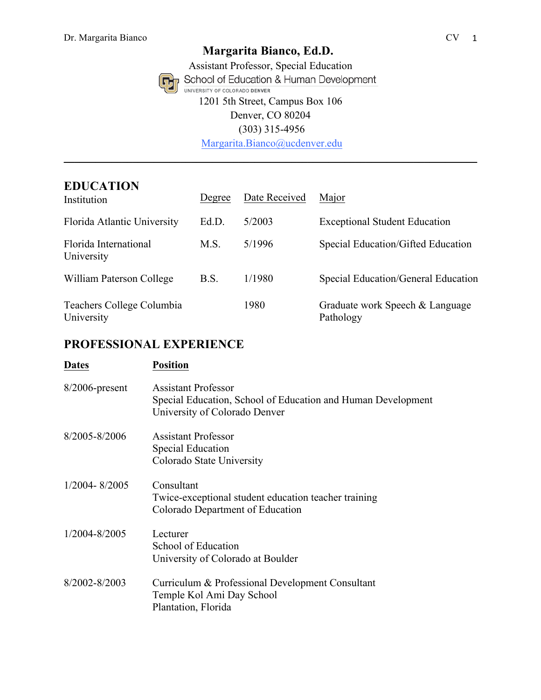Assistant Professor, Special Education<br>
School of Education & Human Development UNIVERSITY OF COLORADO DENVER 1201 5th Street, Campus Box 106 Denver, CO 80204 (303) 315-4956

Margarita.Bianco@ucdenver.edu **\_\_\_\_\_\_\_\_\_\_\_\_\_\_\_\_\_\_\_\_\_\_\_\_\_\_\_\_\_\_\_\_\_\_\_\_\_\_\_\_\_\_\_\_\_\_\_\_\_\_\_\_\_\_\_\_\_\_\_\_\_\_\_\_\_\_\_\_\_\_\_\_\_\_\_\_\_\_**

## **EDUCATION**

| Institution                             | Degree | Date Received | Major                                        |
|-----------------------------------------|--------|---------------|----------------------------------------------|
| Florida Atlantic University             | Ed.D.  | 5/2003        | <b>Exceptional Student Education</b>         |
| Florida International<br>University     | M.S.   | 5/1996        | Special Education/Gifted Education           |
| William Paterson College                | B.S.   | 1/1980        | Special Education/General Education          |
| Teachers College Columbia<br>University |        | 1980          | Graduate work Speech & Language<br>Pathology |

# **PROFESSIONAL EXPERIENCE**

| <b>Dates</b>      | <b>Position</b>                                                                                                             |
|-------------------|-----------------------------------------------------------------------------------------------------------------------------|
| $8/2006$ -present | <b>Assistant Professor</b><br>Special Education, School of Education and Human Development<br>University of Colorado Denver |
| 8/2005-8/2006     | <b>Assistant Professor</b><br>Special Education<br>Colorado State University                                                |
| $1/2004 - 8/2005$ | Consultant<br>Twice-exceptional student education teacher training<br>Colorado Department of Education                      |
| 1/2004-8/2005     | Lecturer<br>School of Education<br>University of Colorado at Boulder                                                        |
| 8/2002-8/2003     | Curriculum & Professional Development Consultant<br>Temple Kol Ami Day School<br>Plantation, Florida                        |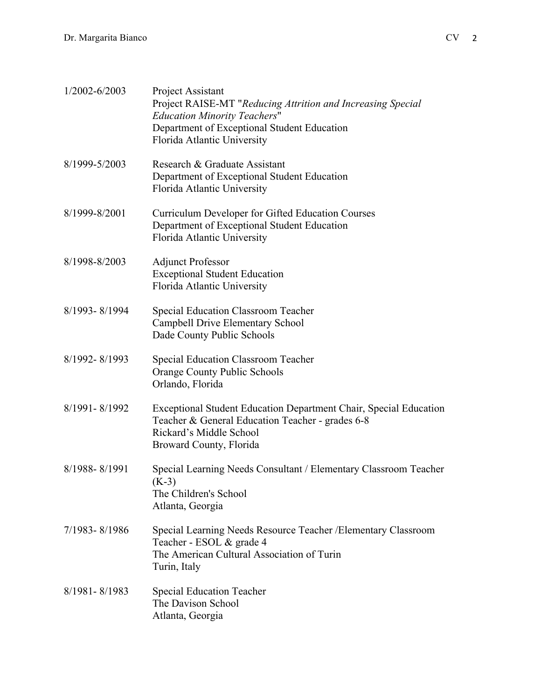| 1/2002-6/2003 | Project Assistant<br>Project RAISE-MT "Reducing Attrition and Increasing Special<br><b>Education Minority Teachers"</b><br>Department of Exceptional Student Education<br>Florida Atlantic University |
|---------------|-------------------------------------------------------------------------------------------------------------------------------------------------------------------------------------------------------|
| 8/1999-5/2003 | Research & Graduate Assistant<br>Department of Exceptional Student Education<br>Florida Atlantic University                                                                                           |
| 8/1999-8/2001 | Curriculum Developer for Gifted Education Courses<br>Department of Exceptional Student Education<br>Florida Atlantic University                                                                       |
| 8/1998-8/2003 | <b>Adjunct Professor</b><br><b>Exceptional Student Education</b><br>Florida Atlantic University                                                                                                       |
| 8/1993-8/1994 | <b>Special Education Classroom Teacher</b><br><b>Campbell Drive Elementary School</b><br>Dade County Public Schools                                                                                   |
| 8/1992-8/1993 | <b>Special Education Classroom Teacher</b><br>Orange County Public Schools<br>Orlando, Florida                                                                                                        |
| 8/1991-8/1992 | Exceptional Student Education Department Chair, Special Education<br>Teacher & General Education Teacher - grades 6-8<br>Rickard's Middle School<br>Broward County, Florida                           |
| 8/1988-8/1991 | Special Learning Needs Consultant / Elementary Classroom Teacher<br>$(K-3)$<br>The Children's School<br>Atlanta, Georgia                                                                              |
| 7/1983-8/1986 | Special Learning Needs Resource Teacher / Elementary Classroom<br>Teacher - ESOL & grade 4<br>The American Cultural Association of Turin<br>Turin, Italy                                              |
| 8/1981-8/1983 | <b>Special Education Teacher</b><br>The Davison School<br>Atlanta, Georgia                                                                                                                            |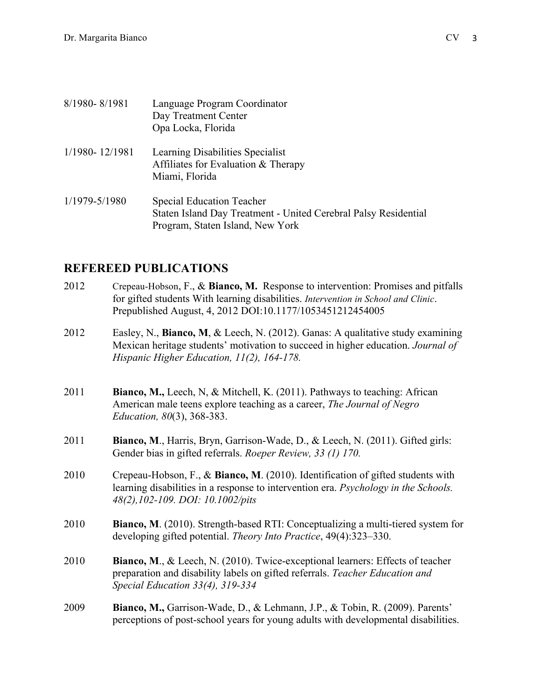| 8/1980-8/1981  | Language Program Coordinator<br>Day Treatment Center<br>Opa Locka, Florida                                                              |
|----------------|-----------------------------------------------------------------------------------------------------------------------------------------|
| 1/1980-12/1981 | Learning Disabilities Specialist<br>Affiliates for Evaluation & Therapy<br>Miami, Florida                                               |
| 1/1979-5/1980  | <b>Special Education Teacher</b><br>Staten Island Day Treatment - United Cerebral Palsy Residential<br>Program, Staten Island, New York |

## **REFEREED PUBLICATIONS**

- 2012 Crepeau-Hobson, F., & **Bianco, M.** Response to intervention: Promises and pitfalls for gifted students With learning disabilities. *Intervention in School and Clinic*. Prepublished August, 4, 2012 DOI:10.1177/1053451212454005
- 2012 Easley, N., **Bianco, M**, & Leech, N. (2012). Ganas: A qualitative study examining Mexican heritage students' motivation to succeed in higher education. *Journal of Hispanic Higher Education, 11(2), 164-178.*
- 2011 **Bianco, M.,** Leech, N, & Mitchell, K. (2011). Pathways to teaching: African American male teens explore teaching as a career, *The Journal of Negro Education, 80*(3), 368-383.
- 2011 **Bianco, M**., Harris, Bryn, Garrison-Wade, D., & Leech, N. (2011). Gifted girls: Gender bias in gifted referrals. *Roeper Review, 33 (1) 170.*
- 2010 Crepeau-Hobson, F., & **Bianco, M**. (2010). Identification of gifted students with learning disabilities in a response to intervention era. *Psychology in the Schools. 48(2),102-109. DOI: 10.1002/pits*
- 2010 **Bianco, M**. (2010). Strength-based RTI: Conceptualizing a multi-tiered system for developing gifted potential. *Theory Into Practice*, 49(4):323–330.
- 2010 **Bianco, M**., & Leech, N. (2010). Twice-exceptional learners: Effects of teacher preparation and disability labels on gifted referrals. *Teacher Education and Special Education 33(4), 319-334*
- 2009 **Bianco, M.,** Garrison-Wade, D., & Lehmann, J.P., & Tobin, R. (2009). Parents' perceptions of post-school years for young adults with developmental disabilities.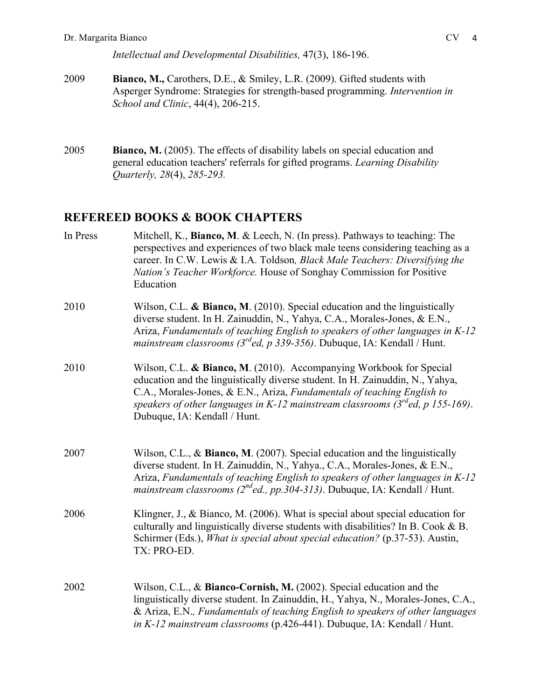- 2009 **Bianco, M.,** Carothers, D.E., & Smiley, L.R. (2009). Gifted students with Asperger Syndrome: Strategies for strength-based programming. *Intervention in School and Clinic*, 44(4), 206-215.
- 2005 **Bianco, M.** (2005). The effects of disability labels on special education and general education teachers' referrals for gifted programs. *Learning Disability Quarterly, 28*(4), *285-293.*

# **REFEREED BOOKS & BOOK CHAPTERS**

| In Press | Mitchell, K., Bianco, M. & Leech, N. (In press). Pathways to teaching: The<br>perspectives and experiences of two black male teens considering teaching as a<br>career. In C.W. Lewis & I.A. Toldson, Black Male Teachers: Diversifying the<br>Nation's Teacher Workforce. House of Songhay Commission for Positive<br>Education                        |
|----------|---------------------------------------------------------------------------------------------------------------------------------------------------------------------------------------------------------------------------------------------------------------------------------------------------------------------------------------------------------|
| 2010     | Wilson, C.L. & Bianco, M. (2010). Special education and the linguistically<br>diverse student. In H. Zainuddin, N., Yahya, C.A., Morales-Jones, & E.N.,<br>Ariza, Fundamentals of teaching English to speakers of other languages in K-12<br>mainstream classrooms ( $3^{rd}$ ed, p 339-356). Dubuque, IA: Kendall / Hunt.                              |
| 2010     | Wilson, C.L. & Bianco, M. (2010). Accompanying Workbook for Special<br>education and the linguistically diverse student. In H. Zainuddin, N., Yahya,<br>C.A., Morales-Jones, & E.N., Ariza, Fundamentals of teaching English to<br>speakers of other languages in K-12 mainstream classrooms ( $3^{rd}$ ed, p 155-169).<br>Dubuque, IA: Kendall / Hunt. |
| 2007     | Wilson, C.L., & Bianco, M. (2007). Special education and the linguistically<br>diverse student. In H. Zainuddin, N., Yahya., C.A., Morales-Jones, & E.N.,<br>Ariza, Fundamentals of teaching English to speakers of other languages in K-12<br><i>mainstream classrooms (<math>2^{nd}</math>ed., pp.304-313).</i> Dubuque, IA: Kendall / Hunt.          |
| 2006     | Klingner, J., & Bianco, M. (2006). What is special about special education for<br>culturally and linguistically diverse students with disabilities? In B. Cook & B.<br>Schirmer (Eds.), <i>What is special about special education</i> ? (p.37-53). Austin,<br>TX: PRO-ED.                                                                              |
| 2002     | Wilson, C.L., & Bianco-Cornish, M. (2002). Special education and the<br>linguistically diverse student. In Zainuddin, H., Yahya, N., Morales-Jones, C.A.,<br>& Ariza, E.N., Fundamentals of teaching English to speakers of other languages<br>in K-12 mainstream classrooms (p.426-441). Dubuque, IA: Kendall / Hunt.                                  |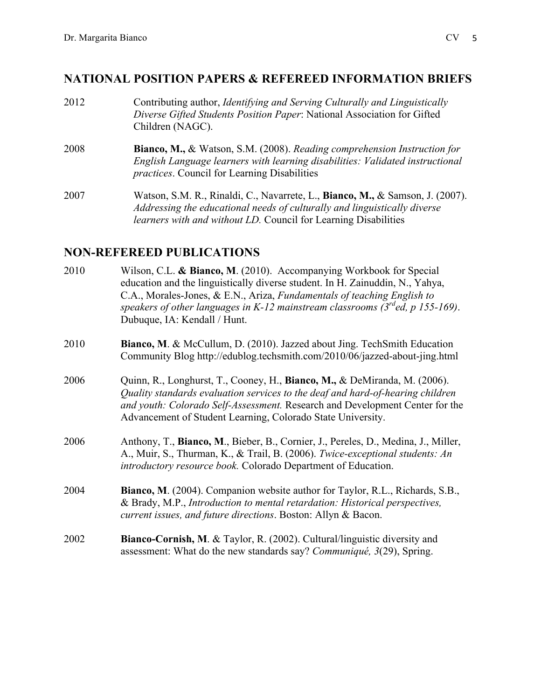### **NATIONAL POSITION PAPERS & REFEREED INFORMATION BRIEFS**

2012 Contributing author, *Identifying and Serving Culturally and Linguistically Diverse Gifted Students Position Paper*: National Association for Gifted Children (NAGC). 2008 **Bianco, M.,** & Watson, S.M. (2008). *Reading comprehension Instruction for English Language learners with learning disabilities: Validated instructional practices*. Council for Learning Disabilities 2007 Watson, S.M. R., Rinaldi, C., Navarrete, L., **Bianco, M.,** & Samson, J. (2007). *Addressing the educational needs of culturally and linguistically diverse* 

*learners with and without LD.* Council for Learning Disabilities

## **NON-REFEREED PUBLICATIONS**

- 2010 Wilson, C.L. **& Bianco, M**. (2010).Accompanying Workbook for Special education and the linguistically diverse student. In H. Zainuddin, N., Yahya, C.A., Morales-Jones, & E.N., Ariza, *Fundamentals of teaching English to speakers of other languages in K-12 mainstream classrooms (3rded, p 155-169)*. Dubuque, IA: Kendall / Hunt.
- 2010 **Bianco, M**. & McCullum, D. (2010). Jazzed about Jing. TechSmith Education Community Blog http://edublog.techsmith.com/2010/06/jazzed-about-jing.html
- 2006 Quinn, R., Longhurst, T., Cooney, H., **Bianco, M.,** & DeMiranda, M. (2006). *Quality standards evaluation services to the deaf and hard-of-hearing children and youth: Colorado Self-Assessment.* Research and Development Center for the Advancement of Student Learning, Colorado State University.
- 2006 Anthony, T., **Bianco, M**., Bieber, B., Cornier, J., Pereles, D., Medina, J., Miller, A., Muir, S., Thurman, K., & Trail, B. (2006). *Twice-exceptional students: An introductory resource book.* Colorado Department of Education.
- 2004 **Bianco, M**. (2004). Companion website author for Taylor, R.L., Richards, S.B., & Brady, M.P., *Introduction to mental retardation: Historical perspectives, current issues, and future directions*. Boston: Allyn & Bacon.
- 2002 **Bianco-Cornish, M**. & Taylor, R. (2002). Cultural/linguistic diversity and assessment: What do the new standards say? *Communiqué, 3*(29), Spring.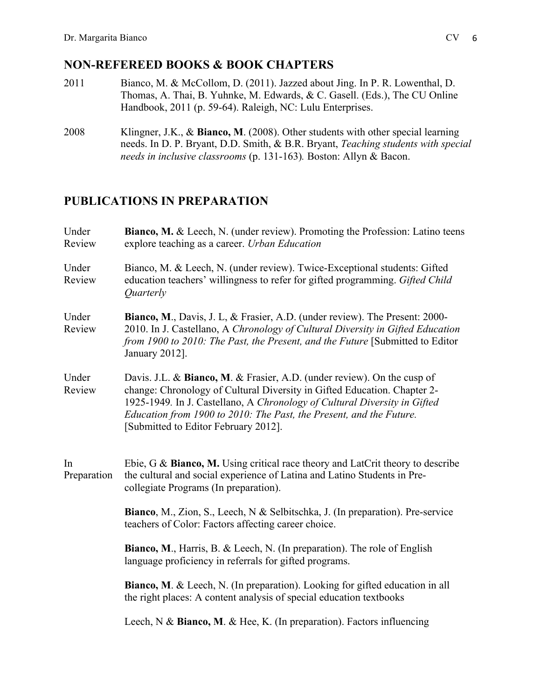## **NON-REFEREED BOOKS & BOOK CHAPTERS**

- 2011 Bianco, M. & McCollom, D. (2011). Jazzed about Jing. In P. R. Lowenthal, D. Thomas, A. Thai, B. Yuhnke, M. Edwards, & C. Gasell. (Eds.), The CU Online Handbook, 2011 (p. 59-64). Raleigh, NC: Lulu Enterprises.
- 2008 Klingner, J.K., & **Bianco, M**. (2008). Other students with other special learning needs. In D. P. Bryant, D.D. Smith, & B.R. Bryant, *Teaching students with special needs in inclusive classrooms* (p. 131-163)*.* Boston: Allyn & Bacon.

# **PUBLICATIONS IN PREPARATION**

| Under<br>Review   | <b>Bianco, M. &amp; Leech, N. (under review). Promoting the Profession: Latino teens</b><br>explore teaching as a career. Urban Education                                                                                                                                                                                                       |  |  |  |
|-------------------|-------------------------------------------------------------------------------------------------------------------------------------------------------------------------------------------------------------------------------------------------------------------------------------------------------------------------------------------------|--|--|--|
| Under<br>Review   | Bianco, M. & Leech, N. (under review). Twice-Exceptional students: Gifted<br>education teachers' willingness to refer for gifted programming. Gifted Child<br>Quarterly                                                                                                                                                                         |  |  |  |
| Under<br>Review   | Bianco, M., Davis, J. L., & Frasier, A.D. (under review). The Present: 2000-<br>2010. In J. Castellano, A Chronology of Cultural Diversity in Gifted Education<br>from 1900 to 2010: The Past, the Present, and the Future [Submitted to Editor<br>January 2012].                                                                               |  |  |  |
| Under<br>Review   | Davis. J.L. & Bianco, M. & Frasier, A.D. (under review). On the cusp of<br>change: Chronology of Cultural Diversity in Gifted Education. Chapter 2-<br>1925-1949. In J. Castellano, A Chronology of Cultural Diversity in Gifted<br>Education from 1900 to 2010: The Past, the Present, and the Future.<br>[Submitted to Editor February 2012]. |  |  |  |
| In<br>Preparation | Ebie, G & Bianco, M. Using critical race theory and LatCrit theory to describe<br>the cultural and social experience of Latina and Latino Students in Pre-<br>collegiate Programs (In preparation).                                                                                                                                             |  |  |  |
|                   | Bianco, M., Zion, S., Leech, N & Selbitschka, J. (In preparation). Pre-service<br>teachers of Color: Factors affecting career choice.                                                                                                                                                                                                           |  |  |  |
|                   | Bianco, M., Harris, B. & Leech, N. (In preparation). The role of English<br>language proficiency in referrals for gifted programs.                                                                                                                                                                                                              |  |  |  |
|                   | <b>Bianco, M. &amp; Leech, N. (In preparation). Looking for gifted education in all</b><br>the right places: A content analysis of special education textbooks                                                                                                                                                                                  |  |  |  |
|                   | Leech, N & Bianco, M. & Hee, K. (In preparation). Factors influencing                                                                                                                                                                                                                                                                           |  |  |  |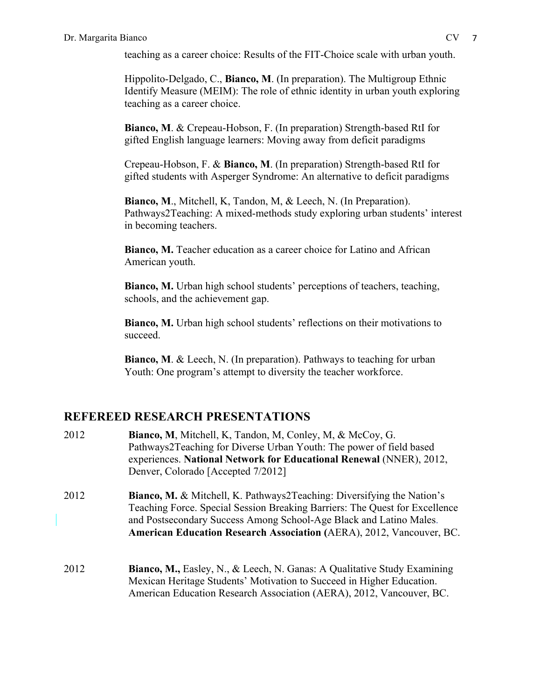teaching as a career choice: Results of the FIT-Choice scale with urban youth.

Hippolito-Delgado, C., **Bianco, M**. (In preparation). The Multigroup Ethnic Identify Measure (MEIM): The role of ethnic identity in urban youth exploring teaching as a career choice.

**Bianco, M**. & Crepeau-Hobson, F. (In preparation) Strength-based RtI for gifted English language learners: Moving away from deficit paradigms

Crepeau-Hobson, F. & **Bianco, M**. (In preparation) Strength-based RtI for gifted students with Asperger Syndrome: An alternative to deficit paradigms

**Bianco, M**., Mitchell, K, Tandon, M, & Leech, N. (In Preparation). Pathways2Teaching: A mixed-methods study exploring urban students' interest in becoming teachers.

**Bianco, M.** Teacher education as a career choice for Latino and African American youth.

**Bianco, M.** Urban high school students' perceptions of teachers, teaching, schools, and the achievement gap.

**Bianco, M.** Urban high school students' reflections on their motivations to succeed.

**Bianco, M**. & Leech, N. (In preparation). Pathways to teaching for urban Youth: One program's attempt to diversity the teacher workforce.

# **REFEREED RESEARCH PRESENTATIONS**

- 2012 **Bianco, M**, Mitchell, K, Tandon, M, Conley, M, & McCoy, G. Pathways2Teaching for Diverse Urban Youth: The power of field based experiences. **National Network for Educational Renewal** (NNER), 2012, Denver, Colorado [Accepted 7/2012]
- 2012 **Bianco, M.** & Mitchell, K. Pathways2Teaching: Diversifying the Nation's Teaching Force. Special Session Breaking Barriers: The Quest for Excellence and Postsecondary Success Among School-Age Black and Latino Males. **American Education Research Association (**AERA), 2012, Vancouver, BC.
- 2012 **Bianco, M.,** Easley, N., & Leech, N. Ganas: A Qualitative Study Examining Mexican Heritage Students' Motivation to Succeed in Higher Education. American Education Research Association (AERA), 2012, Vancouver, BC.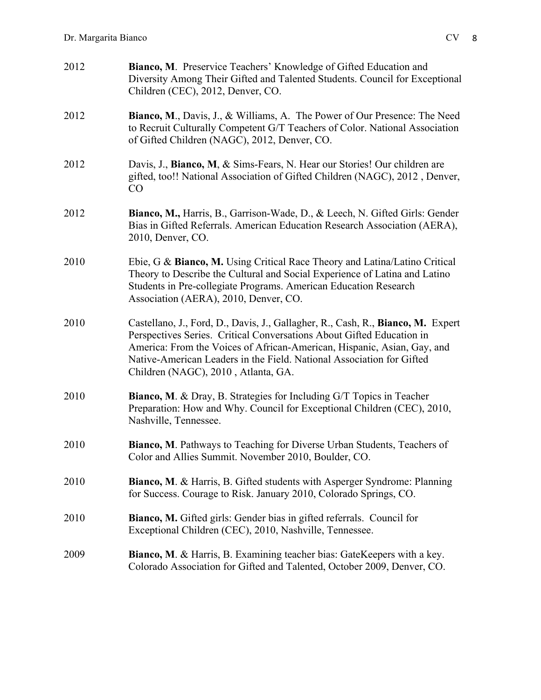| 2012 | Bianco, M. Preservice Teachers' Knowledge of Gifted Education and<br>Diversity Among Their Gifted and Talented Students. Council for Exceptional<br>Children (CEC), 2012, Denver, CO.                                                                                                                                                               |
|------|-----------------------------------------------------------------------------------------------------------------------------------------------------------------------------------------------------------------------------------------------------------------------------------------------------------------------------------------------------|
| 2012 | <b>Bianco, M., Davis, J., &amp; Williams, A. The Power of Our Presence: The Need</b><br>to Recruit Culturally Competent G/T Teachers of Color. National Association<br>of Gifted Children (NAGC), 2012, Denver, CO.                                                                                                                                 |
| 2012 | Davis, J., Bianco, M, & Sims-Fears, N. Hear our Stories! Our children are<br>gifted, too!! National Association of Gifted Children (NAGC), 2012, Denver,<br>CO                                                                                                                                                                                      |
| 2012 | Bianco, M., Harris, B., Garrison-Wade, D., & Leech, N. Gifted Girls: Gender<br>Bias in Gifted Referrals. American Education Research Association (AERA),<br>2010, Denver, CO.                                                                                                                                                                       |
| 2010 | Ebie, G & Bianco, M. Using Critical Race Theory and Latina/Latino Critical<br>Theory to Describe the Cultural and Social Experience of Latina and Latino<br>Students in Pre-collegiate Programs. American Education Research<br>Association (AERA), 2010, Denver, CO.                                                                               |
| 2010 | Castellano, J., Ford, D., Davis, J., Gallagher, R., Cash, R., Bianco, M. Expert<br>Perspectives Series. Critical Conversations About Gifted Education in<br>America: From the Voices of African-American, Hispanic, Asian, Gay, and<br>Native-American Leaders in the Field. National Association for Gifted<br>Children (NAGC), 2010, Atlanta, GA. |
| 2010 | <b>Bianco, M. &amp; Dray, B. Strategies for Including G/T Topics in Teacher</b><br>Preparation: How and Why. Council for Exceptional Children (CEC), 2010,<br>Nashville, Tennessee.                                                                                                                                                                 |
| 2010 | Bianco, M. Pathways to Teaching for Diverse Urban Students, Teachers of<br>Color and Allies Summit. November 2010, Boulder, CO.                                                                                                                                                                                                                     |
| 2010 | Bianco, M. & Harris, B. Gifted students with Asperger Syndrome: Planning<br>for Success. Courage to Risk. January 2010, Colorado Springs, CO.                                                                                                                                                                                                       |
| 2010 | Bianco, M. Gifted girls: Gender bias in gifted referrals. Council for<br>Exceptional Children (CEC), 2010, Nashville, Tennessee.                                                                                                                                                                                                                    |
| 2009 | Bianco, M. & Harris, B. Examining teacher bias: GateKeepers with a key.<br>Colorado Association for Gifted and Talented, October 2009, Denver, CO.                                                                                                                                                                                                  |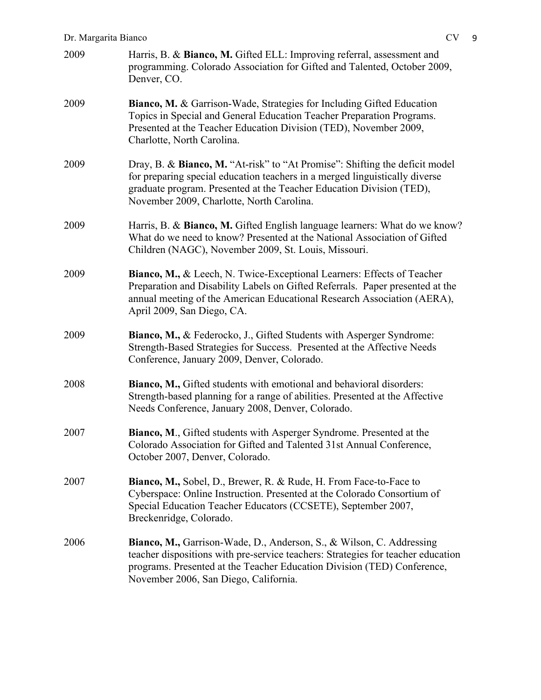### Dr. Margarita Bianco CV 9

| 2009 | Harris, B. & Bianco, M. Gifted ELL: Improving referral, assessment and<br>programming. Colorado Association for Gifted and Talented, October 2009,<br>Denver, CO.                                                                                                               |
|------|---------------------------------------------------------------------------------------------------------------------------------------------------------------------------------------------------------------------------------------------------------------------------------|
| 2009 | Bianco, M. & Garrison-Wade, Strategies for Including Gifted Education<br>Topics in Special and General Education Teacher Preparation Programs.<br>Presented at the Teacher Education Division (TED), November 2009,<br>Charlotte, North Carolina.                               |
| 2009 | Dray, B. & Bianco, M. "At-risk" to "At Promise": Shifting the deficit model<br>for preparing special education teachers in a merged linguistically diverse<br>graduate program. Presented at the Teacher Education Division (TED),<br>November 2009, Charlotte, North Carolina. |
| 2009 | Harris, B. & Bianco, M. Gifted English language learners: What do we know?<br>What do we need to know? Presented at the National Association of Gifted<br>Children (NAGC), November 2009, St. Louis, Missouri.                                                                  |
| 2009 | Bianco, M., & Leech, N. Twice-Exceptional Learners: Effects of Teacher<br>Preparation and Disability Labels on Gifted Referrals. Paper presented at the<br>annual meeting of the American Educational Research Association (AERA),<br>April 2009, San Diego, CA.                |
| 2009 | Bianco, M., & Federocko, J., Gifted Students with Asperger Syndrome:<br>Strength-Based Strategies for Success. Presented at the Affective Needs<br>Conference, January 2009, Denver, Colorado.                                                                                  |
| 2008 | Bianco, M., Gifted students with emotional and behavioral disorders:<br>Strength-based planning for a range of abilities. Presented at the Affective<br>Needs Conference, January 2008, Denver, Colorado.                                                                       |
| 2007 | Bianco, M., Gifted students with Asperger Syndrome. Presented at the<br>Colorado Association for Gifted and Talented 31st Annual Conference,<br>October 2007, Denver, Colorado.                                                                                                 |
| 2007 | <b>Bianco, M., Sobel, D., Brewer, R. &amp; Rude, H. From Face-to-Face to</b><br>Cyberspace: Online Instruction. Presented at the Colorado Consortium of<br>Special Education Teacher Educators (CCSETE), September 2007,<br>Breckenridge, Colorado.                             |
| 2006 | Bianco, M., Garrison-Wade, D., Anderson, S., & Wilson, C. Addressing<br>teacher dispositions with pre-service teachers: Strategies for teacher education<br>programs. Presented at the Teacher Education Division (TED) Conference,<br>November 2006, San Diego, California.    |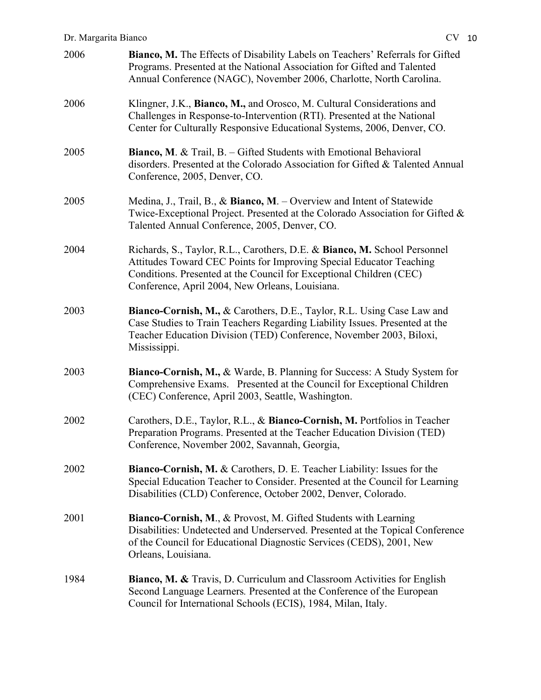| 2006 | Bianco, M. The Effects of Disability Labels on Teachers' Referrals for Gifted<br>Programs. Presented at the National Association for Gifted and Talented<br>Annual Conference (NAGC), November 2006, Charlotte, North Carolina.                                            |
|------|----------------------------------------------------------------------------------------------------------------------------------------------------------------------------------------------------------------------------------------------------------------------------|
| 2006 | Klingner, J.K., Bianco, M., and Orosco, M. Cultural Considerations and<br>Challenges in Response-to-Intervention (RTI). Presented at the National<br>Center for Culturally Responsive Educational Systems, 2006, Denver, CO.                                               |
| 2005 | Bianco, M. & Trail, B. - Gifted Students with Emotional Behavioral<br>disorders. Presented at the Colorado Association for Gifted & Talented Annual<br>Conference, 2005, Denver, CO.                                                                                       |
| 2005 | Medina, J., Trail, B., & Bianco, M. – Overview and Intent of Statewide<br>Twice-Exceptional Project. Presented at the Colorado Association for Gifted &<br>Talented Annual Conference, 2005, Denver, CO.                                                                   |
| 2004 | Richards, S., Taylor, R.L., Carothers, D.E. & Bianco, M. School Personnel<br>Attitudes Toward CEC Points for Improving Special Educator Teaching<br>Conditions. Presented at the Council for Exceptional Children (CEC)<br>Conference, April 2004, New Orleans, Louisiana. |
| 2003 | Bianco-Cornish, M., & Carothers, D.E., Taylor, R.L. Using Case Law and<br>Case Studies to Train Teachers Regarding Liability Issues. Presented at the<br>Teacher Education Division (TED) Conference, November 2003, Biloxi,<br>Mississippi.                               |
| 2003 | <b>Bianco-Cornish, M., &amp; Warde, B. Planning for Success: A Study System for</b><br>Comprehensive Exams. Presented at the Council for Exceptional Children<br>(CEC) Conference, April 2003, Seattle, Washington.                                                        |
| 2002 | Carothers, D.E., Taylor, R.L., & Bianco-Cornish, M. Portfolios in Teacher<br>Preparation Programs. Presented at the Teacher Education Division (TED)<br>Conference, November 2002, Savannah, Georgia,                                                                      |
| 2002 | Bianco-Cornish, M. & Carothers, D. E. Teacher Liability: Issues for the<br>Special Education Teacher to Consider. Presented at the Council for Learning<br>Disabilities (CLD) Conference, October 2002, Denver, Colorado.                                                  |
| 2001 | Bianco-Cornish, M., & Provost, M. Gifted Students with Learning<br>Disabilities: Undetected and Underserved. Presented at the Topical Conference<br>of the Council for Educational Diagnostic Services (CEDS), 2001, New<br>Orleans, Louisiana.                            |
| 1984 | <b>Bianco, M. &amp; Travis, D. Curriculum and Classroom Activities for English</b><br>Second Language Learners. Presented at the Conference of the European<br>Council for International Schools (ECIS), 1984, Milan, Italy.                                               |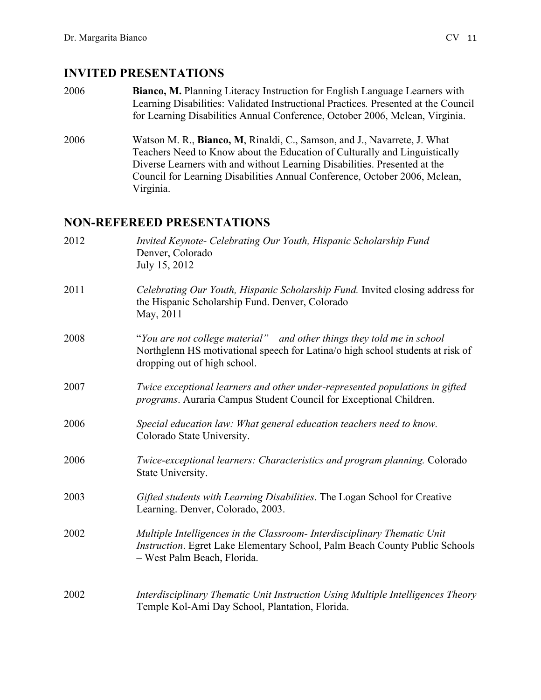### **INVITED PRESENTATIONS**

- 2006 **Bianco, M.** Planning Literacy Instruction for English Language Learners with Learning Disabilities: Validated Instructional Practices*.* Presented at the Council for Learning Disabilities Annual Conference, October 2006, Mclean, Virginia.
- 2006 Watson M. R., **Bianco, M**, Rinaldi, C., Samson, and J., Navarrete, J. What Teachers Need to Know about the Education of Culturally and Linguistically Diverse Learners with and without Learning Disabilities. Presented at the Council for Learning Disabilities Annual Conference, October 2006, Mclean, Virginia.

## **NON-REFEREED PRESENTATIONS**

| 2012 | Invited Keynote- Celebrating Our Youth, Hispanic Scholarship Fund<br>Denver, Colorado<br>July 15, 2012                                                                                     |
|------|--------------------------------------------------------------------------------------------------------------------------------------------------------------------------------------------|
| 2011 | Celebrating Our Youth, Hispanic Scholarship Fund. Invited closing address for<br>the Hispanic Scholarship Fund. Denver, Colorado<br>May, 2011                                              |
| 2008 | "You are not college material" – and other things they told me in school<br>Northglenn HS motivational speech for Latina/o high school students at risk of<br>dropping out of high school. |
| 2007 | Twice exceptional learners and other under-represented populations in gifted<br>programs. Auraria Campus Student Council for Exceptional Children.                                         |
| 2006 | Special education law: What general education teachers need to know.<br>Colorado State University.                                                                                         |
| 2006 | Twice-exceptional learners: Characteristics and program planning. Colorado<br>State University.                                                                                            |
| 2003 | Gifted students with Learning Disabilities. The Logan School for Creative<br>Learning. Denver, Colorado, 2003.                                                                             |
| 2002 | Multiple Intelligences in the Classroom- Interdisciplinary Thematic Unit<br>Instruction. Egret Lake Elementary School, Palm Beach County Public Schools<br>- West Palm Beach, Florida.     |
| 2002 | Interdisciplinary Thematic Unit Instruction Using Multiple Intelligences Theory<br>Temple Kol-Ami Day School, Plantation, Florida.                                                         |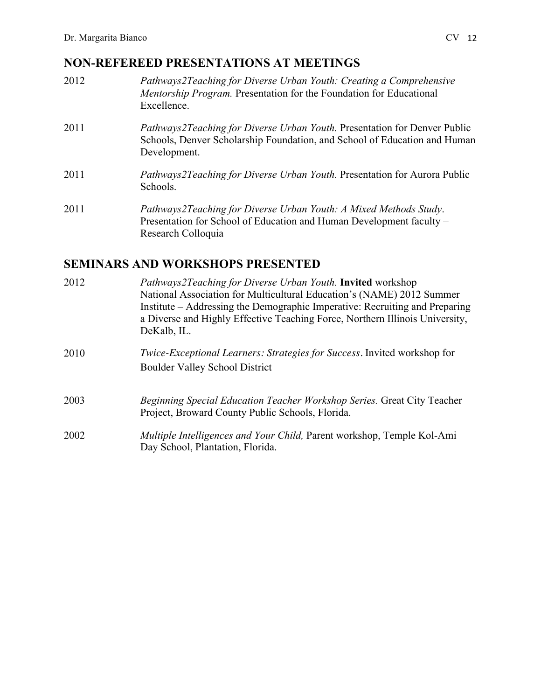# **NON-REFEREED PRESENTATIONS AT MEETINGS**

- 2012 *Pathways2Teaching for Diverse Urban Youth: Creating a Comprehensive Mentorship Program.* Presentation for the Foundation for Educational Excellence.
- 2011 *Pathways2Teaching for Diverse Urban Youth.* Presentation for Denver Public Schools, Denver Scholarship Foundation, and School of Education and Human Development.
- 2011 *Pathways2Teaching for Diverse Urban Youth.* Presentation for Aurora Public Schools.
- 2011 *Pathways2Teaching for Diverse Urban Youth: A Mixed Methods Study*. Presentation for School of Education and Human Development faculty – Research Colloquia

# **SEMINARS AND WORKSHOPS PRESENTED**

| 2012 | <i>Pathways2Teaching for Diverse Urban Youth.</i> Invited workshop<br>National Association for Multicultural Education's (NAME) 2012 Summer<br>Institute – Addressing the Demographic Imperative: Recruiting and Preparing<br>a Diverse and Highly Effective Teaching Force, Northern Illinois University,<br>DeKalb, IL. |
|------|---------------------------------------------------------------------------------------------------------------------------------------------------------------------------------------------------------------------------------------------------------------------------------------------------------------------------|
| 2010 | Twice-Exceptional Learners: Strategies for Success. Invited workshop for<br><b>Boulder Valley School District</b>                                                                                                                                                                                                         |
| 2003 | <i>Beginning Special Education Teacher Workshop Series. Great City Teacher</i><br>Project, Broward County Public Schools, Florida.                                                                                                                                                                                        |
| 2002 | Multiple Intelligences and Your Child, Parent workshop, Temple Kol-Ami<br>Day School, Plantation, Florida.                                                                                                                                                                                                                |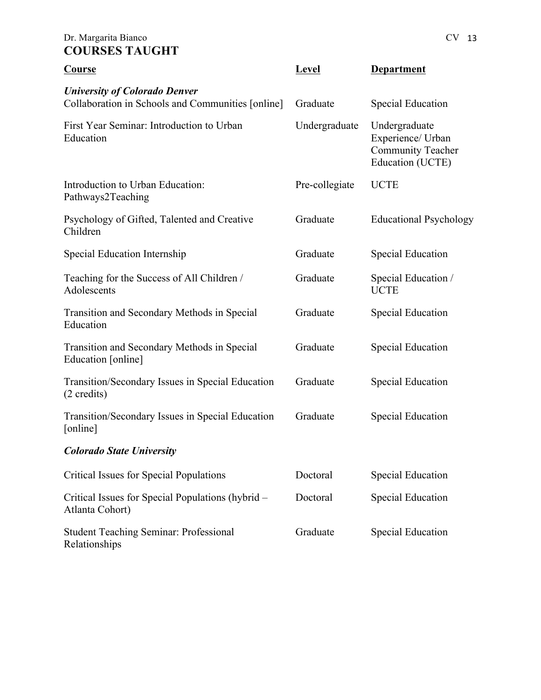### Dr. Margarita Bianco CV 13 **COURSES TAUGHT**

| Course                                                                                    | <b>Level</b>   | Department                                                                         |
|-------------------------------------------------------------------------------------------|----------------|------------------------------------------------------------------------------------|
| <b>University of Colorado Denver</b><br>Collaboration in Schools and Communities [online] | Graduate       | <b>Special Education</b>                                                           |
| First Year Seminar: Introduction to Urban<br>Education                                    | Undergraduate  | Undergraduate<br>Experience/ Urban<br><b>Community Teacher</b><br>Education (UCTE) |
| Introduction to Urban Education:<br>Pathways2Teaching                                     | Pre-collegiate | <b>UCTE</b>                                                                        |
| Psychology of Gifted, Talented and Creative<br>Children                                   | Graduate       | <b>Educational Psychology</b>                                                      |
| Special Education Internship                                                              | Graduate       | <b>Special Education</b>                                                           |
| Teaching for the Success of All Children /<br>Adolescents                                 | Graduate       | Special Education /<br><b>UCTE</b>                                                 |
| Transition and Secondary Methods in Special<br>Education                                  | Graduate       | <b>Special Education</b>                                                           |
| Transition and Secondary Methods in Special<br>Education [online]                         | Graduate       | <b>Special Education</b>                                                           |
| Transition/Secondary Issues in Special Education<br>(2 credits)                           | Graduate       | <b>Special Education</b>                                                           |
| Transition/Secondary Issues in Special Education<br>[online]                              | Graduate       | Special Education                                                                  |
| <b>Colorado State University</b>                                                          |                |                                                                                    |
| <b>Critical Issues for Special Populations</b>                                            | Doctoral       | <b>Special Education</b>                                                           |
| Critical Issues for Special Populations (hybrid –<br>Atlanta Cohort)                      | Doctoral       | <b>Special Education</b>                                                           |
| <b>Student Teaching Seminar: Professional</b><br>Relationships                            | Graduate       | <b>Special Education</b>                                                           |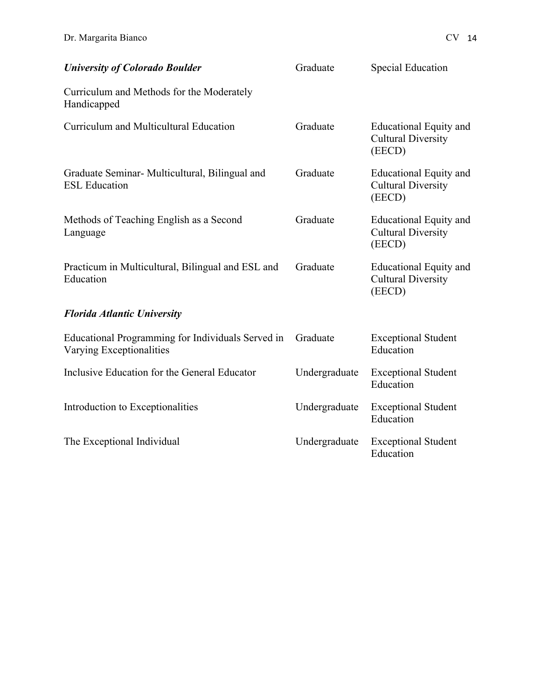| <b>University of Colorado Boulder</b>                                         | Graduate      | <b>Special Education</b>                                             |  |
|-------------------------------------------------------------------------------|---------------|----------------------------------------------------------------------|--|
| Curriculum and Methods for the Moderately<br>Handicapped                      |               |                                                                      |  |
| Curriculum and Multicultural Education                                        | Graduate      | <b>Educational Equity and</b><br><b>Cultural Diversity</b><br>(EECD) |  |
| Graduate Seminar- Multicultural, Bilingual and<br><b>ESL Education</b>        | Graduate      | <b>Educational Equity and</b><br><b>Cultural Diversity</b><br>(EECD) |  |
| Methods of Teaching English as a Second<br>Language                           | Graduate      | <b>Educational Equity and</b><br><b>Cultural Diversity</b><br>(EECD) |  |
| Practicum in Multicultural, Bilingual and ESL and<br>Education                | Graduate      | <b>Educational Equity and</b><br><b>Cultural Diversity</b><br>(EECD) |  |
| <b>Florida Atlantic University</b>                                            |               |                                                                      |  |
| Educational Programming for Individuals Served in<br>Varying Exceptionalities | Graduate      | <b>Exceptional Student</b><br>Education                              |  |
| Inclusive Education for the General Educator                                  | Undergraduate | <b>Exceptional Student</b><br>Education                              |  |
| Introduction to Exceptionalities                                              | Undergraduate | <b>Exceptional Student</b><br>Education                              |  |
| The Exceptional Individual                                                    | Undergraduate | <b>Exceptional Student</b><br>Education                              |  |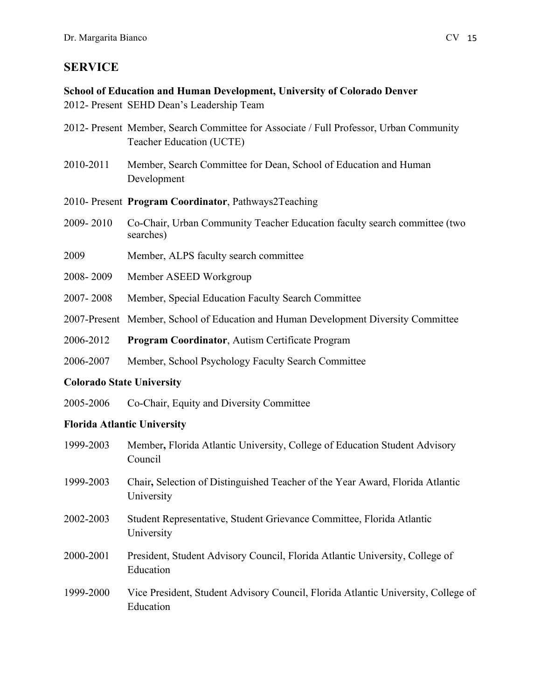# **SERVICE**

### **School of Education and Human Development, University of Colorado Denver**

2012- Present SEHD Dean's Leadership Team

- 2012- Present Member, Search Committee for Associate / Full Professor, Urban Community Teacher Education (UCTE)
- 2010-2011 Member, Search Committee for Dean, School of Education and Human Development
- 2010- Present **Program Coordinator**, Pathways2Teaching
- 2009- 2010 Co-Chair, Urban Community Teacher Education faculty search committee (two searches)
- 2009 Member, ALPS faculty search committee
- 2008- 2009 Member ASEED Workgroup
- 2007- 2008 Member, Special Education Faculty Search Committee
- 2007-Present Member, School of Education and Human Development Diversity Committee
- 2006-2012 **Program Coordinator**, Autism Certificate Program
- 2006-2007 Member, School Psychology Faculty Search Committee

# **Colorado State University**

2005-2006 Co-Chair, Equity and Diversity Committee

# **Florida Atlantic University**

- 1999-2003 Member**,** Florida Atlantic University, College of Education Student Advisory Council
- 1999-2003 Chair**,** Selection of Distinguished Teacher of the Year Award, Florida Atlantic University
- 2002-2003 Student Representative, Student Grievance Committee, Florida Atlantic University
- 2000-2001 President, Student Advisory Council, Florida Atlantic University, College of Education
- 1999-2000 Vice President, Student Advisory Council, Florida Atlantic University, College of Education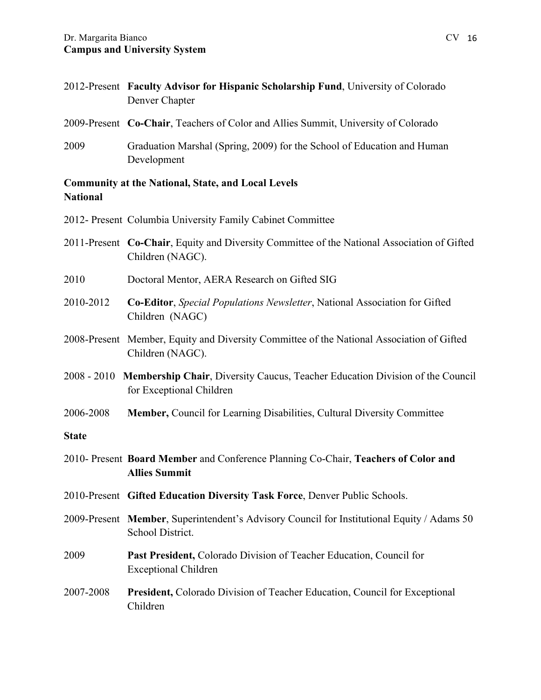|                 | 2012-Present Faculty Advisor for Hispanic Scholarship Fund, University of Colorado<br>Denver Chapter                  |
|-----------------|-----------------------------------------------------------------------------------------------------------------------|
|                 | 2009-Present Co-Chair, Teachers of Color and Allies Summit, University of Colorado                                    |
| 2009            | Graduation Marshal (Spring, 2009) for the School of Education and Human<br>Development                                |
| <b>National</b> | <b>Community at the National, State, and Local Levels</b>                                                             |
|                 | 2012- Present Columbia University Family Cabinet Committee                                                            |
|                 | 2011-Present Co-Chair, Equity and Diversity Committee of the National Association of Gifted<br>Children (NAGC).       |
| 2010            | Doctoral Mentor, AERA Research on Gifted SIG                                                                          |
| 2010-2012       | Co-Editor, Special Populations Newsletter, National Association for Gifted<br>Children (NAGC)                         |
|                 | 2008-Present Member, Equity and Diversity Committee of the National Association of Gifted<br>Children (NAGC).         |
|                 | 2008 - 2010 Membership Chair, Diversity Caucus, Teacher Education Division of the Council<br>for Exceptional Children |
| 2006-2008       | <b>Member, Council for Learning Disabilities, Cultural Diversity Committee</b>                                        |
| <b>State</b>    |                                                                                                                       |
|                 | 2010- Present Board Member and Conference Planning Co-Chair, Teachers of Color and<br><b>Allies Summit</b>            |
|                 | 2010-Present Gifted Education Diversity Task Force, Denver Public Schools.                                            |
|                 | 2009-Present Member, Superintendent's Advisory Council for Institutional Equity / Adams 50<br>School District.        |
| 2009            | <b>Past President, Colorado Division of Teacher Education, Council for</b><br><b>Exceptional Children</b>             |

2007-2008 **President,** Colorado Division of Teacher Education, Council for Exceptional Children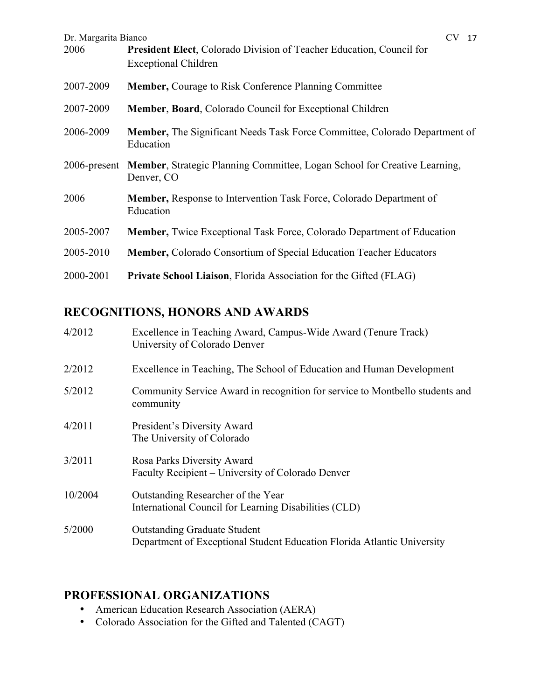| CV 17<br>Dr. Margarita Bianco |                                                                                                            |
|-------------------------------|------------------------------------------------------------------------------------------------------------|
| 2006                          | <b>President Elect, Colorado Division of Teacher Education, Council for</b><br><b>Exceptional Children</b> |
| 2007-2009                     | <b>Member, Courage to Risk Conference Planning Committee</b>                                               |
| 2007-2009                     | <b>Member, Board, Colorado Council for Exceptional Children</b>                                            |
| 2006-2009                     | <b>Member,</b> The Significant Needs Task Force Committee, Colorado Department of<br>Education             |
| 2006-present                  | <b>Member, Strategic Planning Committee, Logan School for Creative Learning,</b><br>Denver, CO             |
| 2006                          | <b>Member, Response to Intervention Task Force, Colorado Department of</b><br>Education                    |
| 2005-2007                     | <b>Member, Twice Exceptional Task Force, Colorado Department of Education</b>                              |
| 2005-2010                     | <b>Member, Colorado Consortium of Special Education Teacher Educators</b>                                  |
| 2000-2001                     | <b>Private School Liaison, Florida Association for the Gifted (FLAG)</b>                                   |

# **RECOGNITIONS, HONORS AND AWARDS**

| 4/2012  | Excellence in Teaching Award, Campus-Wide Award (Tenure Track)<br>University of Colorado Denver                |
|---------|----------------------------------------------------------------------------------------------------------------|
| 2/2012  | Excellence in Teaching, The School of Education and Human Development                                          |
| 5/2012  | Community Service Award in recognition for service to Montbello students and<br>community                      |
| 4/2011  | President's Diversity Award<br>The University of Colorado                                                      |
| 3/2011  | Rosa Parks Diversity Award<br>Faculty Recipient – University of Colorado Denver                                |
| 10/2004 | Outstanding Researcher of the Year<br>International Council for Learning Disabilities (CLD)                    |
| 5/2000  | <b>Outstanding Graduate Student</b><br>Department of Exceptional Student Education Florida Atlantic University |

# **PROFESSIONAL ORGANIZATIONS**

- American Education Research Association (AERA)
- Colorado Association for the Gifted and Talented (CAGT)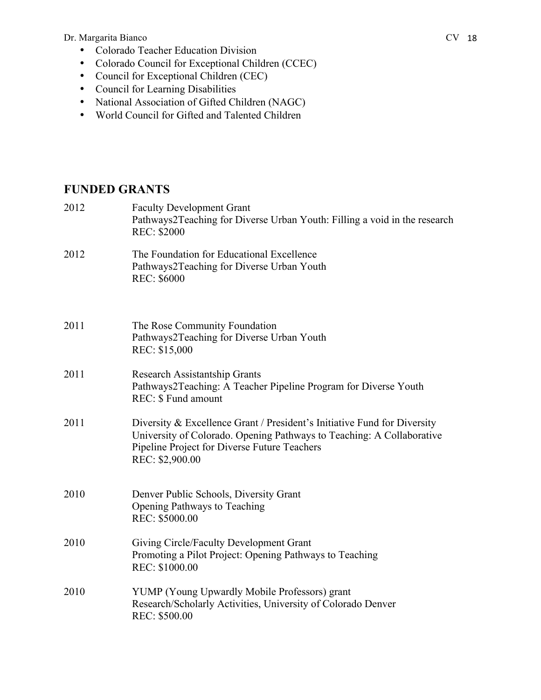#### Dr. Margarita Bianco CV 18

- Colorado Teacher Education Division
- Colorado Council for Exceptional Children (CCEC)
- Council for Exceptional Children (CEC)
- Council for Learning Disabilities
- National Association of Gifted Children (NAGC)
- World Council for Gifted and Talented Children

# **FUNDED GRANTS**

| 2012 | <b>Faculty Development Grant</b><br>Pathways2Teaching for Diverse Urban Youth: Filling a void in the research<br><b>REC: \$2000</b>                                                                                  |
|------|----------------------------------------------------------------------------------------------------------------------------------------------------------------------------------------------------------------------|
| 2012 | The Foundation for Educational Excellence<br>Pathways2Teaching for Diverse Urban Youth<br><b>REC: \$6000</b>                                                                                                         |
| 2011 | The Rose Community Foundation<br>Pathways2Teaching for Diverse Urban Youth<br>REC: \$15,000                                                                                                                          |
| 2011 | <b>Research Assistantship Grants</b><br>Pathways2Teaching: A Teacher Pipeline Program for Diverse Youth<br>REC: \$ Fund amount                                                                                       |
| 2011 | Diversity & Excellence Grant / President's Initiative Fund for Diversity<br>University of Colorado. Opening Pathways to Teaching: A Collaborative<br>Pipeline Project for Diverse Future Teachers<br>REC: \$2,900.00 |
| 2010 | Denver Public Schools, Diversity Grant<br><b>Opening Pathways to Teaching</b><br>REC: \$5000.00                                                                                                                      |
| 2010 | Giving Circle/Faculty Development Grant<br>Promoting a Pilot Project: Opening Pathways to Teaching<br>REC: \$1000.00                                                                                                 |
| 2010 | YUMP (Young Upwardly Mobile Professors) grant<br>Research/Scholarly Activities, University of Colorado Denver<br>REC: \$500.00                                                                                       |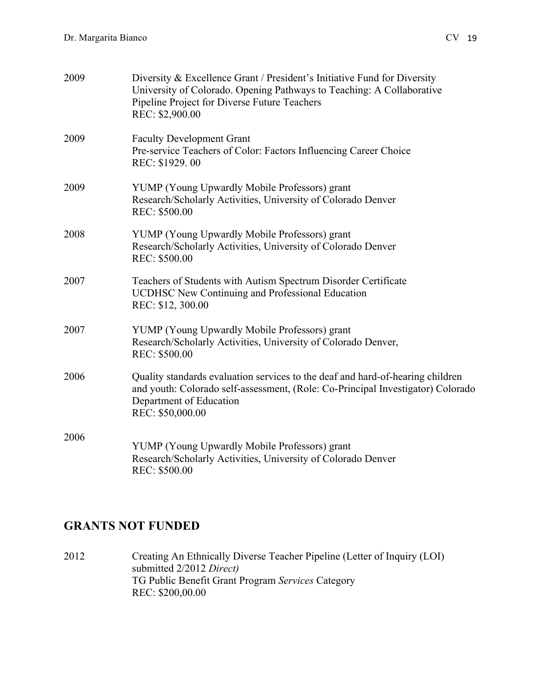| 2009 | Diversity & Excellence Grant / President's Initiative Fund for Diversity<br>University of Colorado. Opening Pathways to Teaching: A Collaborative<br>Pipeline Project for Diverse Future Teachers<br>REC: \$2,900.00 |
|------|----------------------------------------------------------------------------------------------------------------------------------------------------------------------------------------------------------------------|
| 2009 | <b>Faculty Development Grant</b><br>Pre-service Teachers of Color: Factors Influencing Career Choice<br>REC: \$1929.00                                                                                               |
| 2009 | YUMP (Young Upwardly Mobile Professors) grant<br>Research/Scholarly Activities, University of Colorado Denver<br>REC: \$500.00                                                                                       |
| 2008 | YUMP (Young Upwardly Mobile Professors) grant<br>Research/Scholarly Activities, University of Colorado Denver<br>REC: \$500.00                                                                                       |
| 2007 | Teachers of Students with Autism Spectrum Disorder Certificate<br><b>UCDHSC New Continuing and Professional Education</b><br>REC: \$12, 300.00                                                                       |
| 2007 | YUMP (Young Upwardly Mobile Professors) grant<br>Research/Scholarly Activities, University of Colorado Denver,<br>REC: \$500.00                                                                                      |
| 2006 | Quality standards evaluation services to the deaf and hard-of-hearing children<br>and youth: Colorado self-assessment, (Role: Co-Principal Investigator) Colorado<br>Department of Education<br>REC: \$50,000.00     |
| 2006 | YUMP (Young Upwardly Mobile Professors) grant<br>Research/Scholarly Activities, University of Colorado Denver<br>REC: \$500.00                                                                                       |

# **GRANTS NOT FUNDED**

2012 Creating An Ethnically Diverse Teacher Pipeline (Letter of Inquiry (LOI) submitted 2/2012 *Direct)* TG Public Benefit Grant Program *Services* Category REC: \$200,00.00